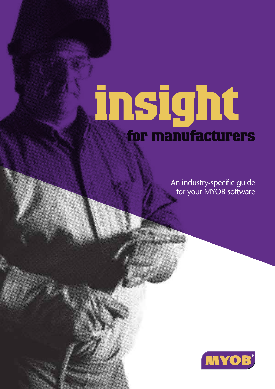# **insight for manufacturers**

An industry-specific guide for your MYOB software

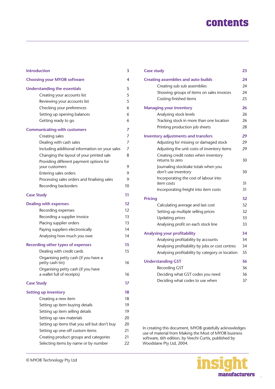### **contents**

| <b>Introduction</b>                                       | 3  |
|-----------------------------------------------------------|----|
| <b>Choosing your MYOB software</b>                        | 4  |
| <b>Understanding the essentials</b>                       | 5  |
| Creating your accounts list                               | 5  |
| Reviewing your accounts list                              | 5  |
| Checking your preferences                                 | 6  |
| Setting up opening balances                               | 6  |
| Getting ready to go                                       | 6  |
| <b>Communicating with customers</b>                       | 7  |
| Creating sales                                            | 7  |
| Dealing with cash sales                                   | 7  |
| Including additional information on your sales            | 7  |
| Changing the layout of your printed sale                  | 8  |
| Providing different payment options for<br>your customers | 9  |
| Entering sales orders                                     | 9  |
| Processing sales orders and finalising sales              | 9  |
| Recording backorders                                      | 10 |
| <b>Case Study</b>                                         | 11 |
| <b>Dealing with expenses</b>                              | 12 |
| Recording expenses                                        | 12 |
| Recording a supplier invoice                              | 13 |
| Placing supplier orders                                   | 13 |
| Paying suppliers electronically                           | 14 |
| Analysing how much you owe                                | 14 |
| <b>Recording other types of expenses</b>                  | 15 |
| Dealing with credit cards                                 | 15 |
| Organising petty cash (if you have a<br>petty cash tin)   | 16 |
| Organising petty cash (if you have                        |    |
| a wallet full of receipts)                                | 16 |
| <b>Case Study</b>                                         | 17 |
| <b>Setting up inventory</b>                               | 18 |
| Creating a new item                                       | 18 |
| Setting up item buying details                            | 19 |
| Setting up item selling details                           | 19 |
| Setting up raw materials                                  | 20 |
| Setting up items that you sell but don't buy              | 20 |
| Setting up one-off custom items                           | 21 |
| Creating product groups and categories                    | 21 |
| Selecting items by name or by number                      | 22 |
|                                                           |    |

| <b>Case study</b>                                                                                                                                                                              | 23                         |
|------------------------------------------------------------------------------------------------------------------------------------------------------------------------------------------------|----------------------------|
| <b>Creating assemblies and auto-builds</b><br>Creating sub sub assemblies<br>Showing groups of items on sales invoices<br>Costing finished items                                               | 24<br>24<br>24<br>25       |
| <b>Managing your inventory</b><br>Analysing stock levels<br>Tracking stock in more than one location<br>Printing production job sheets                                                         | 26<br>26<br>26<br>28       |
| <b>Inventory adjustments and transfers</b><br>Adjusting for missing or damaged stock<br>Adjusting the unit costs of inventory items<br>Creating credit notes when inventory<br>returns to zero | 29<br>29<br>29<br>30       |
| Journaling stocktake totals when you<br>don't use inventory<br>Incorporating the cost of labour into<br>item costs<br>Incorporating freight into item costs                                    | 30<br>31<br>31             |
| <b>Pricing</b><br>Calculating average and last cost<br>Setting up multiple selling prices<br><b>Updating prices</b><br>Analysing profit on each stock line                                     | 32<br>32<br>32<br>33<br>33 |
| Analysing your profitability<br>Analysing profitability by accounts<br>Analysing profitability by jobs or cost centres<br>Analysing profitability by category or location                      | 34<br>34<br>34<br>35       |
| <b>Understanding GST</b><br>Recording GST<br>Deciding what GST codes you need<br>Deciding what codes to use when                                                                               | 36<br>36<br>36<br>37       |

In creating this document, MYOB gratefully acknowledges use of material from Making the Most of MYOB business software, 6th edition, by Veechi Curtis, published by Woodslane Pty Ltd, 2004.

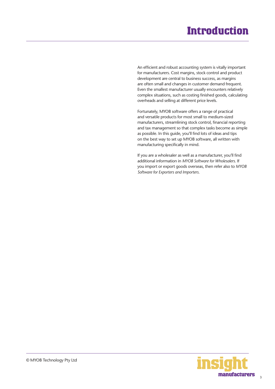### **Introduction**

<span id="page-2-0"></span>An efficient and robust accounting system is vitally important for manufacturers. Cost margins, stock control and product development are central to business success, as margins are often small and changes in customer demand frequent. Even the smallest manufacturer usually encounters relatively complex situations, such as costing finished goods, calculating overheads and selling at different price levels.

Fortunately, MYOB software offers a range of practical and versatile products for most small to medium-sized manufacturers, streamlining stock control, financial reporting and tax management so that complex tasks become as simple as possible. In this guide, you'll find lots of ideas and tips on the best way to set up MYOB software, all written with manufacturing specifically in mind.

If you are a wholesaler as well as a manufacturer, you'll find additional information in *MYOB Software for Wholesalers*. If you import or export goods overseas, then refer also to *MYOB Software for Exporters and Importers*.

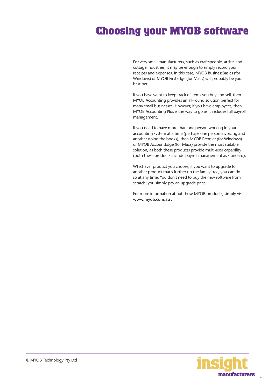## <span id="page-3-0"></span>**Choosing your MYOB software**

For very small manufacturers, such as craftspeople, artists and cottage industries, it may be enough to simply record your receipts and expenses. In this case, MYOB BusinessBasics (for Windows) or MYOB FirstEdge (for Macs) will probably be your best bet.

If you have want to keep track of items you buy and sell, then MYOB Accounting provides an all-round solution perfect for many small businesses. However, if you have employees, then MYOB Accounting Plus is the way to go as it includes full payroll management.

If you need to have more than one person working in your accounting system at a time (perhaps one person invoicing and another doing the books), then MYOB Premier (for Windows) or MYOB AccountEdge (for Macs) provide the most suitable solution, as both these products provide multi-user capability (both these products include payroll management as standard).

Whichever product you choose, if you want to upgrade to another product that's further up the family tree, you can do so at any time. You don't need to buy the new software from scratch; you simply pay an upgrade price.

For more information about these MYOB products, simply visit **www.myob.com.au** .



4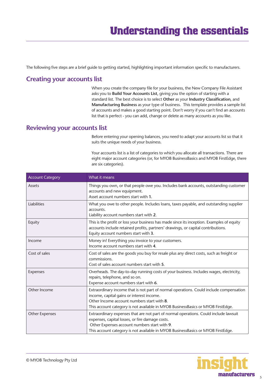<span id="page-4-0"></span>The following five steps are a brief guide to getting started, highlighting important information specific to manufacturers.

#### **Creating your accounts list**

When you create the company file for your business, the New Company File Assistant asks you to **Build Your Accounts List**, giving you the option of starting with a standard list. The best choice is to select **Other** as your **Industry Classification**, and **Manufacturing Business** as your type of business. This template provides a sample list of accounts and makes a good starting point. Don't worry if you can't find an accounts list that is perfect - you can add, change or delete as many accounts as you like.

#### **Reviewing your accounts list**

Before entering your opening balances, you need to adapt your accounts list so that it suits the unique needs of your business.

Your accounts list is a list of categories to which you allocate all transactions. There are eight major account categories (or, for MYOB BusinessBasics and MYOB FirstEdge, there are six categories).

| <b>Account Category</b> | What it means                                                                                                                                                                                                                                                               |
|-------------------------|-----------------------------------------------------------------------------------------------------------------------------------------------------------------------------------------------------------------------------------------------------------------------------|
| Assets                  | Things you own, or that people owe you. Includes bank accounts, outstanding customer<br>accounts and new equipment.<br>Asset account numbers start with 1.                                                                                                                  |
| <b>Liabilities</b>      | What you owe to other people. Includes loans, taxes payable, and outstanding supplier<br>accounts.<br>Liability account numbers start with 2.                                                                                                                               |
| Equity                  | This is the profit or loss your business has made since its inception. Examples of equity<br>accounts include retained profits, partners' drawings, or capital contributions.<br>Equity account numbers start with 3.                                                       |
| Income                  | Money in! Everything you invoice to your customers.<br>Income account numbers start with 4.                                                                                                                                                                                 |
| Cost of sales           | Cost of sales are the goods you buy for resale plus any direct costs, such as freight or<br>commissions.<br>Cost of sales account numbers start with 5.                                                                                                                     |
| Expenses                | Overheads. The day-to-day running costs of your business. Includes wages, electricity,<br>repairs, telephone, and so on.<br>Expense account numbers start with 6.                                                                                                           |
| Other Income            | Extraordinary income that is not part of normal operations. Could include compensation<br>income, capital gains or interest income.<br>Other Income account numbers start with 8.<br>This account category is not available in MYOB BusinessBasics or MYOB FirstEdge.       |
| <b>Other Expenses</b>   | Extraordinary expenses that are not part of normal operations. Could include lawsuit<br>expenses, capital losses, or fire damage costs.<br>Other Expenses account numbers start with 9.<br>This account category is not available in MYOB BusinessBasics or MYOB FirstEdge. |

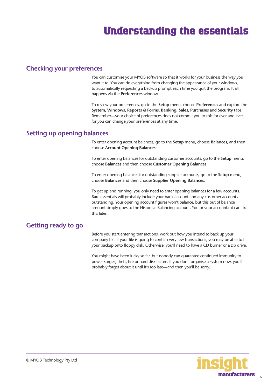#### <span id="page-5-0"></span>**Checking your preferences**

You can customise your MYOB software so that it works for your business the way you want it to. You can do everything from changing the appearance of your windows, to automatically requesting a backup prompt each time you quit the program. It all happens via the **Preferences** window.

To review your preferences, go to the **Setup** menu, choose **Preferences** and explore the **System, Windows, Reports & Forms, Banking, Sales, Purchases** and **Security** tabs. Remember—your choice of preferences does not commit you to this for ever and ever, for you can change your preferences at any time.

#### **Setting up opening balances**

To enter opening account balances, go to the **Setup** menu, choose **Balances**, and then choose **Account Opening Balances**.

To enter opening balances for outstanding customer accounts, go to the **Setup** menu, choose **Balances** and then choose **Customer Opening Balances.**

To enter opening balances for outstanding supplier accounts, go to the **Setup** menu, choose **Balances** and then choose **Supplier Opening Balances**.

To get up and running, you only need to enter opening balances for a few accounts. Bare essentials will probably include your bank account and any customer accounts outstanding. Your opening account figures won't balance, but this out of balance amount simply goes to the Historical Balancing account. You or your accountant can fix this later.

#### **Getting ready to go**

Before you start entering transactions, work out how you intend to back up your company file. If your file is going to contain very few transactions, you may be able to fit your backup onto floppy disk. Otherwise, you'll need to have a CD burner or a zip drive.

You might have been lucky so far, but nobody can guarantee continued immunity to power surges, theft, fire or hard disk failure. If you don't organise a system now, you'll probably forget about it until it's too late—and then you'll be sorry.

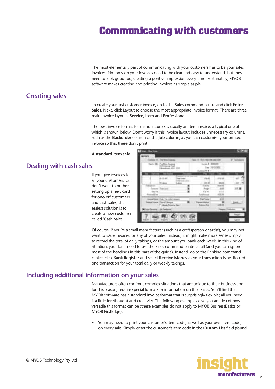The most elementary part of communicating with your customers has to be your sales invoices. Not only do your invoices need to be clear and easy to understand, but they need to look good too, creating a positive impression every time. Fortunately, MYOB software makes creating and printing invoices as simple as pie.

#### <span id="page-6-0"></span>**Creating sales**

To create your first customer invoice, go to the **Sales** command centre and click **Enter Sales**. Next, click Layout to choose the most appropriate invoice format. There are three main invoice layouts: **Service, Item** and **Professional**.

The best invoice format for manufacturers is usually an Item invoice, a typical one of which is shown below. Don't worry if this invoice layout includes unnecessary columns, such as the **Backorder** column or the **Job** column, as you can customise your printed invoice so that these don't print.

**A standard item sale**

#### **Dealing with cash sales**

If you give invoices to all your customers, but don't want to bother setting up a new card for one-off customers and cash sales, the easiest solution is to create a new customer called 'Cash Sales'.

|                     | at it. Terms branch                                              | Twell D. Wilston 20-design |                | <b>Tachet</b> |
|---------------------|------------------------------------------------------------------|----------------------------|----------------|---------------|
| an Ala              | The Finan Covening<br>(Driveware Floor)<br>Anadouse Miller (210) | terior & SHISTER<br>图者     |                |               |
|                     |                                                                  | <b>PAY LE</b>              |                |               |
|                     |                                                                  | \$15 OF                    |                |               |
|                     |                                                                  | A61-A                      | <b>MY: 56</b>  |               |
| <b>COMMERCIAL</b>   | Their pair                                                       | details.<br>Franger -      | entra<br>22.50 | <b>WIT</b>    |
| <b>WYA</b>          |                                                                  |                            |                |               |
| <b>Passwell</b> ex- |                                                                  | Tuing Accounts             |                |               |
|                     | <b>ILLUSTRING</b>                                                | witnes                     |                |               |
|                     | <b>Institution</b>                                               | ma Baie                    |                | : Detail:     |
|                     |                                                                  |                            |                |               |

Of course, if you're a small manufacturer (such as a craftsperson or artist), you may not want to issue invoices for any of your sales. Instead, it might make more sense simply to record the total of daily takings, or the amount you bank each week. In this kind of situation, you don't need to use the Sales command centre at all (and you can ignore most of the headings in this part of the guide). Instead, go to the Banking command centre, click **Bank Register** and select **Receive Money** as your transaction type. Record one transaction for your total daily or weekly takings.

#### **Including additional information on your sales**

Manufacturers often confront complex situations that are unique to their business and for this reason, require special formats or information on their sales. You'll find that MYOB software has a standard invoice format that is surprisingly flexible; all you need is a little forethought and creativity. The following examples give you an idea of how versatile this format can be (these examples do not apply to MYOB BusinessBasics or MYOB FirstEdge).

• You may need to print your customer's item code, as well as your own item code, on every sale. Simply enter the customer's item code in the **Custom List** field (found

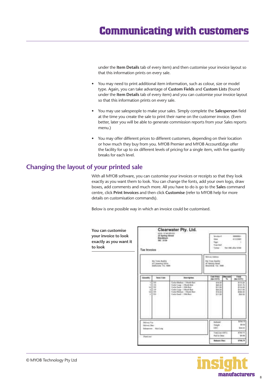<span id="page-7-0"></span>under the **Item Details** tab of every item) and then customise your invoice layout so that this information prints on every sale.

- You may need to print additional item information, such as colour, size or model type. Again, you can take advantage of **Custom Fields** and **Custom Lists** (found under the **Item Details** tab of every item) and you can customise your invoice layout so that this information prints on every sale.
- You may use salespeople to make your sales. Simply complete the **Salesperson** field at the time you create the sale to print their name on the customer invoice. (Even better, later you will be able to generate commission reports from your Sales reports menu.)
- You may offer different prices to different customers, depending on their location or how much they buy from you. MYOB Premier and MYOB AccountEdge offer the facility for up to six different levels of pricing for a single item, with five quantity breaks for each level.

#### **Changing the layout of your printed sale**

With all MYOB software, you can customise your invoices or receipts so that they look exactly as you want them to look. You can change the fonts, add your own logo, draw boxes, add comments and much more. All you have to do is go to the **Sales** command centre, click **Print Invoices** and then click **Customise** (refer to MYOB help for more details on customisation commands).

Below is one possible way in which an invoice could be customised.

| You can customise<br>your invoice to look<br>exactly as you want it<br>to look | <b>Tax Invoice</b>       | <b>KSIN ISTAEREAR</b><br>III hartug filmet<br>Roschlouti<br>ed bria | Clearwater Pty. Ltd.                                                                                                                                                                                                         |                                                                                | from Bult                                                                      | Tomas - the title plu tries | 411040                                                           |
|--------------------------------------------------------------------------------|--------------------------|---------------------------------------------------------------------|------------------------------------------------------------------------------------------------------------------------------------------------------------------------------------------------------------------------------|--------------------------------------------------------------------------------|--------------------------------------------------------------------------------|-----------------------------|------------------------------------------------------------------|
|                                                                                |                          | <b>Mig Town Russley</b><br>of Cassetery Story<br>Malaysia Vy Mill   |                                                                                                                                                                                                                              | <b>Skinnigh Address</b><br>Wa'llinn Ball<br>at hersty from<br>Bossend, VV. 000 |                                                                                |                             |                                                                  |
|                                                                                | <b>Eleksiks</b>          | <b>Toyot &amp; Lane</b>                                             | <b>Ikan Hydra</b>                                                                                                                                                                                                            |                                                                                | <b>Tell Friday</b><br>$180 - 436$ T3                                           | <b>Teacond</b><br>×.        | Tilla<br><b>Ban-ADFEL</b>                                        |
|                                                                                | ×<br>t                   | <b>TTI</b><br>110<br>14x<br>$+1.68$<br>16<br>144                    | Toyle Nissan 1 Week Rett<br>State Lease: U Work Box<br>Fishe Assis - Little Basi.<br><b>Tooks Lage - 1 Worth Bark</b><br>Toda Wellam 198406 Reet<br>Visulat Bandi - 1-904 Bani:<br>Change of prints to \$1.1 to 76, month of |                                                                                | 814, 23<br>\$25.35<br>\$11.99<br>\$50.35<br>\$14.00<br>\$11.00<br><b>TH 11</b> |                             | 3111.18<br>9101.76<br>\$150.00<br>\$111.5d<br>\$14.16<br>doz: to |
|                                                                                | Nilvay Rip<br>biomy like | bearing Maline                                                      |                                                                                                                                                                                                                              |                                                                                |                                                                                |                             | \$14.75<br>do cost<br><b>BOAKE</b>                               |
|                                                                                | Hard and                 |                                                                     |                                                                                                                                                                                                                              |                                                                                | Tool Decision C.<br>Axid to Stea                                               |                             | <b>William Rd.</b><br>\$1.00                                     |
|                                                                                |                          |                                                                     |                                                                                                                                                                                                                              |                                                                                | <b>Gréssine Pont</b>                                                           |                             | <b>USK.79</b>                                                    |

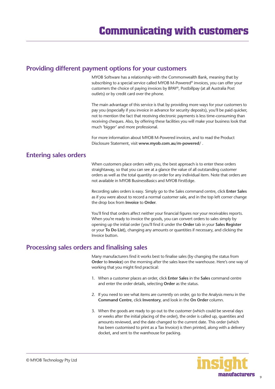#### <span id="page-8-0"></span>**Providing different payment options for your customers**

MYOB Software has a relationship with the Commonwealth Bank, meaning that by subscribing to a special service called MYOB M-Powered® invoices, you can offer your customers the choice of paying invoices by BPAY®, Postbillpay (at all Australia Post outlets) or by credit card over the phone.

The main advantage of this service is that by providing more ways for your customers to pay you (especially if you invoice in advance for security deposits), you'll be paid quicker, not to mention the fact that receiving electronic payments is less time-consuming than receiving cheques. Also, by offering these facilities you will make your business look that much 'bigger' and more professional.

For more information about MYOB M-Powered invoices, and to read the Product Disclosure Statement, visit **www.myob.com.au/m-powered/** .

#### **Entering sales orders**

When customers place orders with you, the best approach is to enter these orders straightaway, so that you can see at a glance the value of all outstanding customer orders as well as the total quantity on order for any individual item. Note that orders are not available in MYOB BusinessBasics and MYOB FirstEdge.

Recording sales orders is easy. Simply go to the Sales command centre, click **Enter Sales** as if you were about to record a normal customer sale, and in the top left corner change the drop box from **Invoice** to **Order**.

You'll find that orders affect neither your financial figures nor your receivables reports. When you're ready to invoice the goods, you can convert orders to sales simply by opening up the initial order (you'll find it under the **Order** tab in your **Sales Register**  or your **To Do List**), changing any amounts or quantities if necessary, and clicking the Invoice button.

#### **Processing sales orders and finalising sales**

Many manufacturers find it works best to finalise sales (by changing the status from **Order** to **Invoice**) on the morning after the sales leave the warehouse. Here's one way of working that you might find practical:

- 1. When a customer places an order, click **Enter Sales** in the **Sales** command centre and enter the order details, selecting **Order** as the status.
- 2. If you need to see what items are currently on order, go to the Analysis menu in the **Command Centre**, click **Inventory**, and look in the **On Order** column.
- 3. When the goods are ready to go out to the customer (which could be several days or weeks after the initial placing of the order), the order is called up, quantities and amounts reviewed, and the date changed to the current date. This order (which has been customised to print as a Tax Invoice) is then printed, along with a delivery docket, and sent to the warehouse for packing.

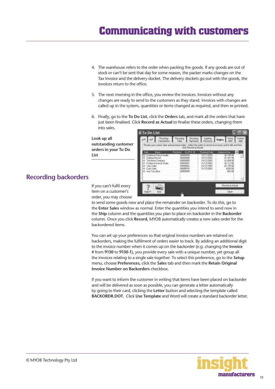- <span id="page-9-0"></span>4. The warehouse refers to the order when packing the goods. If any goods are out of stock or can't be sent that day for some reason, the packer marks changes on the Tax Invoice and the delivery docket. The delivery dockets go out with the goods, the invoices return to the office.
- 5. The next morning in the office, you review the invoices. Invoices without any changes are ready to send to the customers as they stand. Invoices with changes are called up in the system, quantities or items changed as required, and then re-printed.
- 6. Finally, go to the **To Do List**, click the **Orders** tab, and mark all the orders that have just been finalised. Click **Record as Actual** to finalise these orders, changing them into sales.

**Look up all outstanding customer orders in your To Do List**



**Recording backorders** If you can't fulfil every

item on a customer's order, you may choose

to send some goods now and place the remainder on backorder. To do this, go to the **Enter Sales** window as normal. Enter the quantities you intend to send now in the **Ship** column and the quantities you plan to place on backorder in the **Backorder** column. Once you click **Record**, MYOB automatically creates a new sales order for the backordered items.

You can set up your preferences so that original invoice numbers are retained on backorders, making the fulfilment of orders easier to track. By adding an additional digit to the invoice number when it comes up on the backorder (e.g. changing the **Invoice #** from **9130** to **9130-1**), you provide every sale with a unique number, yet group all the invoices relating to a single sale together. To select this preference, go to the **Setup** menu, choose **Preferences**, click the **Sales** tab and then mark the **Retain Original Invoice Number on Backorders** checkbox.

If you want to inform the customer in writing that items have been placed on backorder and will be delivered as soon as possible, you can generate a letter automatically by going to their card, clicking the **Letter** button and selecting the template called **BACKORDR.DOT**. Click **Use Template** and Word will create a standard backorder letter.



© MYOB Technology Pty Ltd

 $10$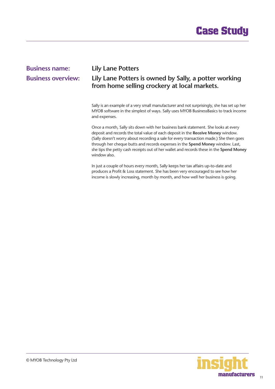

# <span id="page-10-0"></span>**Business name: Lily Lane Potters**

#### **Business overview: Lily Lane Potters is owned by Sally, a potter working from home selling crockery at local markets.**

Sally is an example of a very small manufacturer and not surprisingly, she has set up her MYOB software in the simplest of ways. Sally uses MYOB BusinessBasics to track income and expenses.

Once a month, Sally sits down with her business bank statement. She looks at every deposit and records the total value of each deposit in the **Receive Money** window. (Sally doesn't worry about recording a sale for every transaction made.) She then goes through her cheque butts and records expenses in the **Spend Money** window. Last, she tips the petty cash receipts out of her wallet and records these in the **Spend Money** window also.

In just a couple of hours every month, Sally keeps her tax affairs up-to-date and produces a Profit & Loss statement. She has been very encouraged to see how her income is slowly increasing, month by month, and how well her business is going.

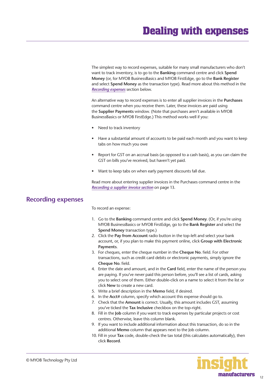<span id="page-11-0"></span>The simplest way to record expenses, suitable for many small manufacturers who don't want to track inventory, is to go to the **Banking** command centre and click **Spend Money** (or, for MYOB BusinessBasics and MYOB FirstEdge, go to the **Bank Register** and select **Spend Money** as the transaction type). Read more about this method in the *Recording expenses* section below.

An alternative way to record expenses is to enter all supplier invoices in the **Purchases** command centre when you receive them. Later, these invoices are paid using the **Supplier Payments** window. (Note that purchases aren't available in MYOB BusinessBasics or MYOB FirstEdge.) This method works well if you:

- Need to track inventory
- Have a substantial amount of accounts to be paid each month and you want to keep tabs on how much you owe
- Report for GST on an accrual basis (as opposed to a cash basis), as you can claim the GST on bills you've received, but haven't yet paid.
- Want to keep tabs on when early payment discounts fall due.

Read more about entering supplier invoices in the Purchases command centre in the *[Recording a supplier invoice section](#page-12-0)* on page 13.

#### **Recording expenses**

To record an expense:

- 1. Go to the **Banking** command centre and click **Spend Money**. (Or, if you're using MYOB BusinessBasics or MYOB FirstEdge, go to the **Bank Register** and select the **Spend Money** transaction type.)
- 2. Click the **Pay from Account** radio button in the top-left and select your bank account, or, if you plan to make this payment online, click **Group with Electronic Payments**.
- 3. For cheques, enter the cheque number in the **Cheque No**. field. For other transactions, such as credit card debits or electronic payments, simply ignore the **Cheque No**. field.
- 4. Enter the date and amount, and in the **Card** field, enter the name of the person you are paying. If you've never paid this person before, you'll see a list of cards, asking you to select one of them. Either double-click on a name to select it from the list or click **New** to create a new card.
- 5. Write a brief description in the **Memo** field, if desired.
- 6. In the **Acct#** column, specify which account this expense should go to.
- 7. Check that the **Amount** is correct. Usually, this amount includes GST, assuming you've ticked the **Tax Inclusive** checkbox on the top-right.
- 8. Fill in the **Job** column if you want to track expenses by particular projects or cost centres. Otherwise, leave this column blank.
- 9. If you want to include additional information about this transaction, do so in the additional **Memo** column that appears next to the Job column.
- 10. Fill in your **Tax** code, double-check the tax total (this calculates automatically), then click **Record**.

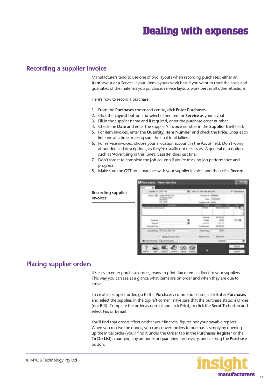#### <span id="page-12-0"></span>**Recording a supplier invoice**

Manufacturers tend to use one of two layouts when recording purchases: either an **Item** layout or a Service layout. Item layouts work best if you want to track the costs and quantities of the materials you purchase; service layouts work best in all other situations.

Here's how to record a purchase:

- 1. From the **Purchases** command centre, click **Enter Purchases**.
- 2. Click the **Layout** button and select either Item or **Service** as your layout.
- 3. Fill in the supplier name and if required, enter the purchase order number.
- 4. Check the **Date** and enter the supplier's invoice number in the **Supplier Inv#** field.
- 5. For item invoices, enter the **Quantity, Item Number** and check the **Price**. Enter each line one at a time, making sure the final total tallies.
- 6. For service invoices, choose your allocation account in the **Acct#** field. Don't worry about detailed descriptions, as they're usually not necessary. A general description such as 'Advertising in this June's Gazette' does just fine.
- 7. Don't forget to complete the **Job** column if you're tracking job performance and progress.
- 8. Make sure the GST total matches with your supplier invoice, and then click **Record**.

|                                       | <b>Ultimohases - New Service</b> |                                   |                   |                |  |
|---------------------------------------|----------------------------------|-----------------------------------|-------------------|----------------|--|
| <b>Recording supplier</b><br>invoices |                                  |                                   |                   |                |  |
|                                       |                                  |                                   |                   |                |  |
|                                       |                                  |                                   |                   |                |  |
|                                       |                                  | markers Trainer 18, No<br>Elliant | <b>Fast Tions</b> | $\overline{1}$ |  |
|                                       |                                  |                                   |                   |                |  |

#### **Placing supplier orders**

It's easy to enter purchase orders, ready to print, fax or email direct to your suppliers. This way you can see at a glance what items are on order and when they are due to arrive.

To create a supplier order, go to the **Purchases** command centre, click **Enter Purchases** and select the supplier. In the top left corner, make sure that the purchase status is **Order** (not **Bill**). Complete the order as normal and click **Print**, or click the **Send To** button and select **Fax** or **E-mail**.

You'll find that orders affect neither your financial figures nor your payable reports. When you receive the goods, you can convert orders to purchases simply by opening up the initial order (you'll find it under the **Orde**r tab in the **Purchases Registe**r or the **To Do List**), changing any amounts or quantities if necessary, and clicking the **Purchase** button.

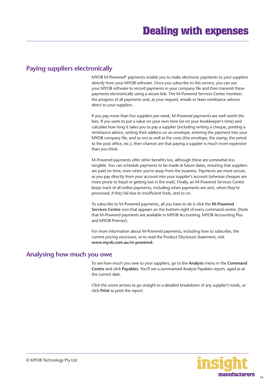#### <span id="page-13-0"></span>**Paying suppliers electronically**

MYOB M-Powered® payments enable you to make electronic payments to your suppliers directly from your MYOB software. Once you subscribe to this service, you can use your MYOB software to record payments in your company file and then transmit these payments electronically using a secure link. The M-Powered Services Centre monitors the progress of all payments and, at your request, emails or faxes remittance advices direct to your suppliers.

If you pay more than five suppliers per week, M-Powered payments are well worth the fees. If you were to put a value on your own time (or on your bookkeeper's time) and calculate how long it takes you to pay a supplier (including writing a cheque, printing a remittance advice, writing their address on an envelope, entering the payment into your MYOB company file, and so on) as well as the costs (the envelope, the stamp, the petrol to the post office, etc.), then chances are that paying a supplier is much more expensive than you think.

M-Powered payments offer other benefits too, although these are somewhat less tangible. You can schedule payments to be made at future dates, ensuring that suppliers are paid on time, even when you're away from the business. Payments are more secure, as you pay directly from your account into your supplier's account (whereas cheques are more prone to fraud or getting lost in the mail). Finally, an M-Powered Services Centre keeps track of all online payments, including when payments are sent, when they're processed, if they fail due to insufficient finds, and so on.

To subscribe to M-Powered payments, all you have to do is click the **M-Powered Services Centre** icon that appears on the bottom-right of every command centre. (Note that M-Powered payments are available in MYOB Accounting, MYOB Accounting Plus and MYOB Premier).

For more information about M-Powered payments, including how to subscribe, the current pricing structures, or to read the Product Disclosure Statement, visit **www.myob.com.au/m-powered.**

#### **Analysing how much you owe**

To see how much you owe to your suppliers, go to the **Analysis** menu in the **Command Centre** and click **Payables**. You'll see a summarised Analyse Payables report, aged as at the current date.

Click the zoom arrows to go straight to a detailed breakdown of any supplier's totals, or click **Print** to print the report.

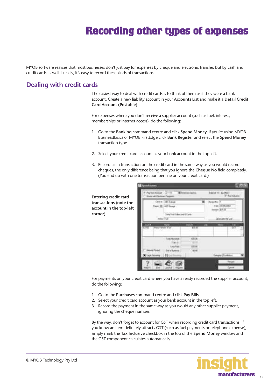### **Recording other types of expenses**

<span id="page-14-0"></span>MYOB software realises that most businesses don't just pay for expenses by cheque and electronic transfer, but by cash and credit cards as well. Luckily, it's easy to record these kinds of transactions.

#### **Dealing with credit cards**

The easiest way to deal with credit cards is to think of them as if they were a bank account. Create a new liability account in your **Accounts List** and make it a **Detail Credit Card Account (Postable)**.

For expenses where you don't receive a supplier account (such as fuel, interest, memberships or internet access), do the following:

- 1. Go to the **Banking** command centre and click **Spend Money**. If you're using MYOB BusinessBasics or MYOB FirstEdge click **Bank Register** and select the **Spend Money** transaction type.
- 2. Select your credit card account as your bank account in the top left.
- 3. Record each transaction on the credit card in the same way as you would record cheques, the only difference being that you ignore the **Cheque No** field completely. (You end up with one transaction per line on your credit card.)

**Entering credit card transactions (note the account in the top-left corner)**



For payments on your credit card where you have already recorded the supplier account, do the following:

- 1. Go to the **Purchases** command centre and click **Pay Bills**.
- 2. Select your credit card account as your bank account in the top left.
- 3. Record the payment in the same way as you would any other supplier payment, ignoring the cheque number.

By the way, don't forget to account for GST when recording credit card transactions. If you know an item definitely attracts GST (such as fuel payments or telephone expense), simply mark the **Tax Inclusive** checkbox in the top of the **Spend Money** window and the GST component calculates automatically.

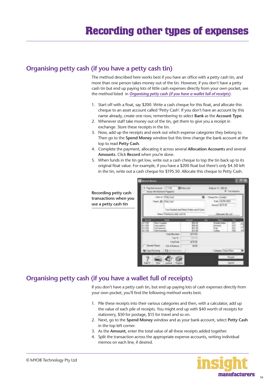#### <span id="page-15-0"></span>**Organising petty cash (if you have a petty cash tin)**

The method described here works best if you have an office with a petty cash tin, and more than one person takes money out of the tin. However, if you don't have a petty cash tin but end up paying lots of little cash expenses directly from your own pocket, see the method listed in *Organising petty cash (if you have a wallet full of receipts)*.

- 1. Start off with a float, say \$200. Write a cash cheque for this float, and allocate this cheque to an asset account called 'Petty Cash'. If you don't have an account by this name already, create one now, remembering to select **Bank** as the **Account Type**.
- 2. Whenever staff take money out of the tin, get them to give you a receipt in exchange. Store these receipts in the tin.
- 3. Now, add up the receipts and work out which expense categories they belong to. Then go to the **Spend Money** window but this time change the bank account at the top to read **Petty Cash**.
- 4. Complete the payment, allocating it across several **Allocation Accounts** and several **Amounts**. Click **Record** when you're done.
- 5. When funds in the tin get low, write out a cash cheque to top the tin back up to its original float value. For example, if you have a \$200 float but there's only \$4.50 left in the tin, write out a cash cheque for \$195.50. Allocate this cheque to Petty Cash.

**Recording petty cash transactions when you use a petty cash tin**



#### **Organising petty cash (if you have a wallet full of receipts)**

If you don't have a petty cash tin, but end up paying lots of cash expenses directly from your own pocket, you'll find the following method works best.

- 1. Pile these receipts into their various categories and then, with a calculator, add up the value of each pile of receipts. You might end up with \$40 worth of receipts for stationery, \$50 for postage, \$15 for travel and so on.
- 2. Next, go to the **Spend Money** window and as your bank account, select **Petty Cash** in the top left corner.
- 3. As the **Amount**, enter the total value of all these receipts added together.
- 4. Split the transaction across the appropriate expense accounts, writing individual memos on each line, if desired.

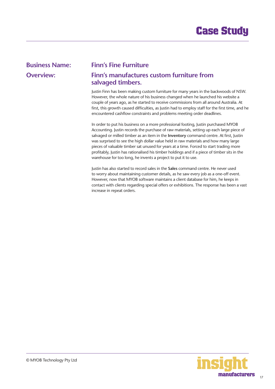#### <span id="page-16-0"></span>**Business Name: Finn's Fine Furniture**

#### **Overview: Finn's manufactures custom furniture from salvaged timbers.**

Justin Finn has been making custom furniture for many years in the backwoods of NSW. However, the whole nature of his business changed when he launched his website a couple of years ago, as he started to receive commissions from all around Australia. At first, this growth caused difficulties, as Justin had to employ staff for the first time, and he encountered cashflow constraints and problems meeting order deadlines.

In order to put his business on a more professional footing, Justin purchased MYOB Accounting. Justin records the purchase of raw materials, setting up each large piece of salvaged or milled timber as an item in the **Inventory** command centre. At first, Justin was surprised to see the high dollar value held in raw materials and how many large pieces of valuable timber sat unused for years at a time. Forced to start trading more profitably, Justin has rationalised his timber holdings and if a piece of timber sits in the warehouse for too long, he invents a project to put it to use.

Justin has also started to record sales in the **Sales** command centre. He never used to worry about maintaining customer details, as he saw every job as a one-off event. However, now that MYOB software maintains a client database for him, he keeps in contact with clients regarding special offers or exhibitions. The response has been a vast increase in repeat orders.

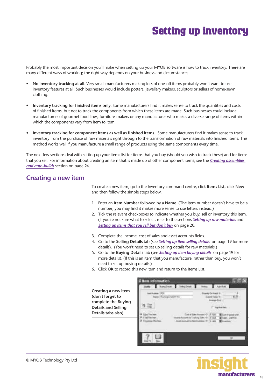### **Setting up inventory**

<span id="page-17-0"></span>Probably the most important decision you'll make when setting up your MYOB software is how to track inventory. There are many different ways of working; the right way depends on your business and circumstances.

- **No inventory tracking at all**. Very small manufacturers making lots of one-off items probably won't want to use inventory features at all. Such businesses would include potters, jewellery makers, sculptors or sellers of home-sewn clothing.
- **Inventory tracking for finished items only.** Some manufacturers find it makes sense to track the quantities and costs of finished items, but not to track the components from which these items are made. Such businesses could include manufacturers of gourmet food lines, furniture-makers or any manufacturer who makes a diverse range of items within which the components vary from item to item.
- **Inventory tracking for component items as well as finished items**. Some manufacturers find it makes sense to track inventory from the purchase of raw materials right through to the transformation of raw materials into finished items. This method works well if you manufacture a small range of products using the same components every time.

The next few sections deal with setting up your items list for items that you buy (should you wish to track these) and for items that you sell. For information about creating an item that is made up of other component items, see the *[Creating assemblies](#page-23-0)  [and auto-builds](#page-23-0)* section on page 24.

#### **Creating a new item**

To create a new item, go to the Inventory command centre, click **Items List**, click **New** and then follow the simple steps below.

- 1. Enter an **Item Number** followed by a **Name**. (The item number doesn't have to be a number; you may find it makes more sense to use letters instead.)
- 2. Tick the relevant checkboxes to indicate whether you buy, sell or inventory this item. (If you're not sure what to select, refer to the sections *[Setting up raw materials](#page-19-0)* and *[Setting up items that you sell but don't buy](#page-19-0)* on page 20.
- 3. Complete the income, cost of sales and asset accounts fields.
- 4. Go to the **Selling Details** tab (see *[Setting up item selling details](#page-18-0)* on page 19 for more details). (You won't need to set up selling details for raw materials.)
- 5. Go to the **Buying Details** tab (see *[Setting up item buying details](#page-18-0)* on page 19 for more details). (If this is an item that you manufacture, rather than buy, you won't need to set up buying details.)
- 6. Click **OK** to record this new item and return to the Items List.



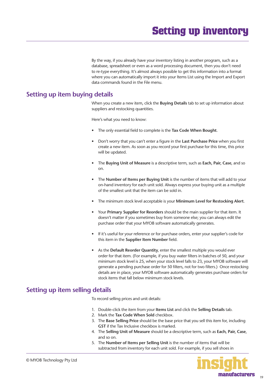By the way, if you already have your inventory listing in another program, such as a database, spreadsheet or even as a word processing document, then you don't need to re-type everything. It's almost always possible to get this information into a format where you can automatically import it into your Items List using the Import and Export data commands found in the File menu.

#### <span id="page-18-0"></span>**Setting up item buying details**

When you create a new item, click the **Buying Details** tab to set up information about suppliers and restocking quantities.

Here's what you need to know:

- The only essential field to complete is the **Tax Code When Bought**.
- Don't worry that you can't enter a figure in the **Last Purchase Price** when you first create a new item. As soon as you record your first purchase for this time, this price will be updated.
- The **Buying Unit of Measure** is a descriptive term, such as **Each, Pair, Case**, and so on.
- The **Number of Items per Buying Unit** is the number of items that will add to your on-hand inventory for each unit sold. Always express your buying unit as a multiple of the smallest unit that the item can be sold in.
- The minimum stock level acceptable is your **Minimum Level for Restocking Alert**.
- Your **Primary Supplier for Reorders** should be the main supplier for that item. It doesn't matter if you sometimes buy from someone else; you can always edit the purchase order that your MYOB software automatically generates.
- If it's useful for your reference or for purchase orders, enter your supplier's code for this item in the **Supplier Item Number** field.
- As the **Default Reorder Quantity**, enter the smallest multiple you would ever order for that item. (For example, if you buy water filters in batches of 50, and your minimum stock level is 25, when your stock level falls to 23, your MYOB software will generate a pending purchase order for 50 filters, not for two filters.) Once restocking details are in place, your MYOB software automatically generates purchase orders for stock items that fall below minimum stock levels.

#### **Setting up item selling details**

To record selling prices and unit details:

- 1. Double-click the item from your **Items List** and click the **Selling Details** tab.
- 2. Mark the **Tax Code When Sold** checkbox.
- 3. The **Base Selling Price** should be the base price that you sell this item for, including **GST** if the Tax Inclusive checkbox is marked.
- 4. The **Selling Unit of Measure** should be a descriptive term, such as **Each, Pair, Case**, and so on.
- 5. The **Number of Items per Selling Unit** is the number of items that will be subtracted from inventory for each unit sold. For example, if you sell shoes in

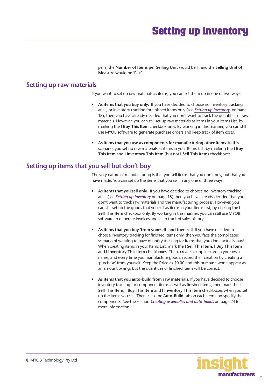### **Setting up inventory**

pairs, the **Number of Items per Selling Unit** would be 1, and the **Selling Unit of Measure** would be 'Pair'.

#### <span id="page-19-0"></span>**Setting up raw materials**

If you want to set up raw materials as items, you can set them up in one of two ways:

- **As items that you buy only.** If you have decided to choose no inventory tracking at all, or inventory tracking for finished items only (see *[Setting up inventory](#page-17-0)* on page 18), then you have already decided that you don't want to track the quantities of raw materials. However, you can still set up raw materials as items in your Items List, by marking the **I Buy This Item** checkbox only. By working in this manner, you can still use MYOB software to generate purchase orders and keep track of item costs.
- **As items that you use as components for manufacturing other items.** In this scenario, you set up raw materials as items in your Items List, by marking the **I Buy This Item** and **I Inventory This Item** (but not **I Sell This Item**) checkboxes.

#### **Setting up items that you sell but don't buy**

The very nature of manufacturing is that you sell items that you don't buy, but that you have made. You can set up the items that you sell in any one of three ways:

- **As items that you sell only**. If you have decided to choose no inventory tracking at all (see *[Setting up inventory](#page-17-0)* on page 18) then you have already decided that you don't want to track raw materials and the manufacturing process. However, you can still set up the goods that you sell as items in your Items List, by clicking the **I Sell This Item** checkbox only. By working in this manner, you can still use MYOB software to generate invoices and keep track of sales history.
- **As items that you buy 'from yourself' and then sell**. If you have decided to choose inventory tracking for finished items only, then you face the complicated scenario of wanting to have quantity tracking for items that you don't actually buy! When creating items in your Items List, mark the **I Sell This Item**, **I Buy This Item** and **I Inventory This Item** checkboxes. Then, create a supplier card in your own name, and every time you manufacture goods, record their creation by creating a 'purchase' from yourself. Keep the **Price** as \$0.00 and this purchase won't appear as an amount owing, but the quantities of finished items will be correct.
- **As items that you auto-build from raw materials**. If you have decided to choose inventory tracking for component items as well as finished items, then mark the **I Sell This Item**, **I Buy This Item** and **I Inventory This Item** checkboxes when you set up the items you sell. Then, click the **Auto-Build** tab on each item and specify the components. See the section *[Creating assemblies and auto-builds](#page-23-0)* on page 24 for more information.

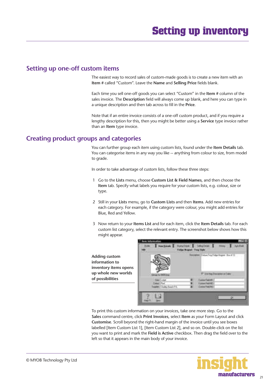### <span id="page-20-0"></span>**Setting up one-off custom items**

The easiest way to record sales of custom-made goods is to create a new item with an **Item #** called "Custom". Leave the **Name** and **Selling Price** fields blank.

Each time you sell one-off goods you can select "Custom" in the **Item #** column of the sales invoice. The **Description** field will always come up blank, and here you can type in a unique description and then tab across to fill in the **Price**.

Note that if an entire invoice consists of a one-off custom product, and if you require a lengthy description for this, then you might be better using a **Service** type invoice rather than an **Item** type invoice.

### **Creating product groups and categories**

You can further group each item using custom lists, found under the **Item Details** tab. You can categorise items in any way you like -- anything from colour to size, from model to grade.

In order to take advantage of custom lists, follow these three steps:

- 1 Go to the **Lists** menu, choose **Custom List & Field Names**, and then choose the **Item** tab. Specify what labels you require for your custom lists, e.g. colour, size or type.
- 2 Still in your **Lists** menu, go to **Custom Lists** and then **Items**. Add new entries for each category. For example, if the category were colour, you might add entries for Blue, Red and Yellow.
- 3 Now return to your **Items List** and for each item, click the **Item Details** tab. For each custom list category, select the relevant entry. The screenshot below shows how this might appear.

**Adding custom information to inventory items opens up whole new worlds of possibilities**



To print this custom information on your invoices, take one more step. Go to the **Sales** command centre, click **Print Invoices**, select **Item** as your Form Layout and click **Customise**. Scroll beyond the right-hand margin of the invoice until you see boxes labelled [Item Custom List 1], [Item Custom List 2], and so on. Double-click on the list you want to print and mark the **Field is Active** checkbox. Then drag the field over to the left so that it appears in the main body of your invoice.

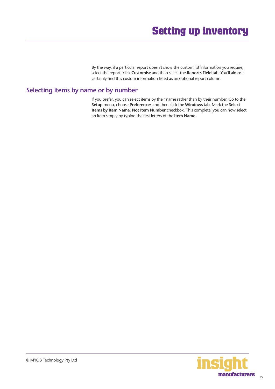By the way, if a particular report doesn't show the custom list information you require, select the report, click **Customise** and then select the **Reports Field** tab. You'll almost certainly find this custom information listed as an optional report column.

#### <span id="page-21-0"></span>**Selecting items by name or by number**

If you prefer, you can select items by their name rather than by their number. Go to the **Setup** menu, choose **Preferences** and then click the **Windows** tab. Mark the **Select Items by Item Name, Not Item Number** checkbox. This complete, you can now select an item simply by typing the first letters of the **Item Name**.

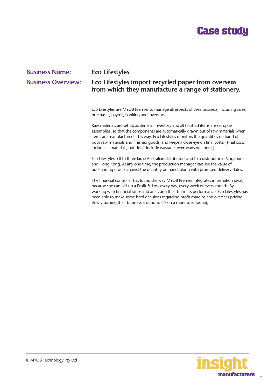### <span id="page-22-0"></span>**Business Name: Eco Lifestyles Business Overview: Eco Lifestyles import recycled paper from overseas from which they manufacture a range of stationery.**

Eco Lifestyles use MYOB Premier to manage all aspects of their business, including sales, purchases, payroll, banking and inventory.

Raw materials are set up as items in inventory and all finished items are set up as assemblies, so that the components are automatically drawn out of raw materials when items are manufactured. This way, Eco Lifestyles monitors the quantities on hand of both raw materials and finished goods, and keeps a close eye on final costs. (Final costs include all materials, but don't include wastage, overheads or labour.)

Eco Lifestyles sell to three large Australian distributors and to a distributor in Singapore and Hong Kong. At any one time, the production manager can see the value of outstanding orders against the quantity on hand, along with promised delivery dates.

The financial controller has found the way MYOB Premier integrates information ideal, because she can call up a Profit & Loss every day, every week or every month. By working with financial ratios and analysing their business performance, Eco Lifestyles has been able to make some hard decisions regarding profit margins and overseas pricing, slowly turning their business around so it's on a more solid footing.

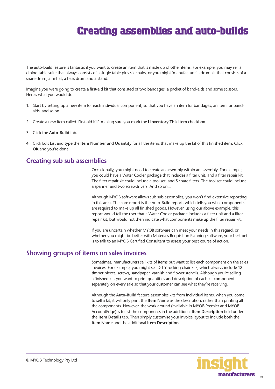### **Creating assemblies and auto-builds**

<span id="page-23-0"></span>The auto-build feature is fantastic if you want to create an item that is made up of other items. For example, you may sell a dining table suite that always consists of a single table plus six chairs, or you might 'manufacture' a drum kit that consists of a snare drum, a hi-hat, a bass drum and a stand.

Imagine you were going to create a first-aid kit that consisted of two bandages, a packet of band-aids and some scissors. Here's what you would do:

- 1. Start by setting up a new item for each individual component, so that you have an item for bandages, an item for bandaids, and so on.
- 2. Create a new item called 'First-aid Kit', making sure you mark the **I Inventory This Item** checkbox.
- 3. Click the **Auto-Build** tab.
- 4. Click Edit List and type the **Item Number** and **Quantity** for all the items that make up the kit of this finished item. Click **OK** and you're done.

#### **Creating sub sub assemblies**

Occasionally, you might need to create an assembly within an assembly. For example, you could have a Water Cooler package that includes a filter unit, and a filter repair kit. The filter repair kit could include a tool set, and 5 spare filters. The tool set could include a spanner and two screwdrivers. And so on...

Although MYOB software allows sub sub assemblies, you won't find extensive reporting in this area. The core report is the Auto-Build report, which tells you what components are required to make up all finished goods. However, using our above example, this report would tell the user that a Water Cooler package includes a filter unit and a filter repair kit, but would not then indicate what components make up the filter repair kit.

If you are uncertain whether MYOB software can meet your needs in this regard, or whether you might be better with Materials Requisition Planning software, your best bet is to talk to an MYOB Certified Consultant to assess your best course of action.

#### **Showing groups of items on sales invoices**

Sometimes, manufacturers sell kits of items but want to list each component on the sales invoices. For example, you might sell D-I-Y rocking chair kits, which always include 12 timber pieces, screws, sandpaper, varnish and flower stencils. Although you're selling a finished kit, you want to print quantities and description of each kit component separately on every sale so that your customer can see what they're receiving.

Although the **Auto-Build** feature assembles kits from individual items, when you come to sell a kit, it will only print the **Item Name** as the description, rather than printing all the components. However, the work around (available in MYOB Premier and MYOB AccountEdge) is to list the components in the additional **Item Description** field under the **Item Details** tab. Then simply customise your invoice layout to include both the **Item Name** and the additional **Item Description**.

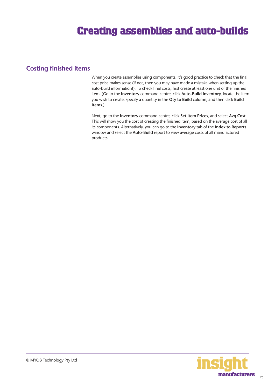#### <span id="page-24-0"></span>**Costing finished items**

When you create assemblies using components, it's good practice to check that the final cost price makes sense (if not, then you may have made a mistake when setting up the auto-build information!). To check final costs, first create at least one unit of the finished item. (Go to the **Inventory** command centre, click **Auto-Build Inventory**, locate the item you wish to create, specify a quantity in the **Qty to Build** column, and then click **Build Items**.)

Next, go to the **Inventory** command centre, click **Set Item Prices**, and select **Avg Cost**. This will show you the cost of creating the finished item, based on the average cost of all its components. Alternatively, you can go to the **Inventory** tab of the **Index to Reports** window and select the **Auto-Build** report to view average costs of all manufactured products.

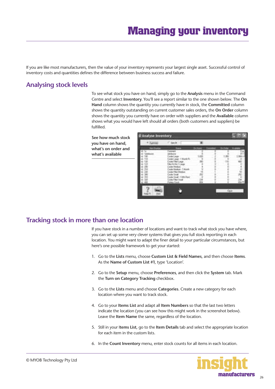<span id="page-25-0"></span>If you are like most manufacturers, then the value of your inventory represents your largest single asset. Successful control of inventory costs and quantities defines the difference between business success and failure.

#### **Analysing stock levels**

To see what stock you have on hand, simply go to the **Analysis** menu in the Command Centre and select **Inventory**. You'll see a report similar to the one shown below. The **On Hand** column shows the quantity you currently have in stock, the **Committed** column shows the quantity outstanding on current customer sales orders, the **On Order** column shows the quantity you currently have on order with suppliers and the **Available** column shows what you would have left should all orders (both customers and suppliers) be fulfilled.

**See how much stock you have on hand, what's on order and what's available** 



#### **Tracking stock in more than one location**

If you have stock in a number of locations and want to track what stock you have where, you can set up some very clever systems that gives you full stock reporting in each location. You might want to adapt the finer detail to your particular circumstances, but here's one possible framework to get your started:

- 1. Go to the **Lists** menu, choose **Custom List & Field Names**, and then choose **Items**. As the **Name of Custom List #1**, type 'Location'.
- 2. Go to the **Setup** menu, choose **Preferences**, and then click the **System** tab. Mark the **Turn on Category Tracking** checkbox.
- 3. Go to the **Lists** menu and choose **Categories**. Create a new category for each location where you want to track stock.
- 4. Go to your **Items List** and adapt all **Item Numbers** so that the last two letters indicate the location (you can see how this might work in the screenshot below). Leave the **Item Name** the same, regardless of the location.
- 5. Still in your I**tems List**, go to the **Item Details** tab and select the appropriate location for each item in the custom lists.
- 6. In the **Count Inventory** menu, enter stock counts for all items in each location.

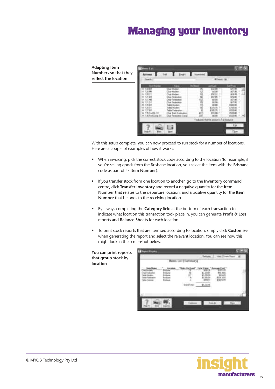### **Managing your inventory**

**Adapting Item Numbers so that they reflect the location**

**location**

|          |                 | <b>TRA BANKE</b> | <b>STATISTICS</b>        | ستلتق |
|----------|-----------------|------------------|--------------------------|-------|
| $-$<br>皿 | <br><b>Hill</b> |                  | Alay<br>an full fix also | 51.12 |

With this setup complete, you can now proceed to run stock for a number of locations. Here are a couple of examples of how it works:

- When invoicing, pick the correct stock code according to the location (for example, if you're selling goods from the Brisbane location, you select the item with the Brisbane code as part of its **Item Number**).
- If you transfer stock from one location to another, go to the **Inventory** command centre, click **Transfer Inventory** and record a negative quantity for the **Item Number** that relates to the departure location, and a positive quantity for the **Item Number** that belongs to the receiving location.
- By always completing the **Category** field at the bottom of each transaction to indicate what location this transaction took place in, you can generate **Profit & Loss**  reports and **Balance Sheets** for each location.
- To print stock reports that are itemised according to location, simply click **Customise**  when generating the report and select the relevant location. You can see how this might look in the screenshot below.



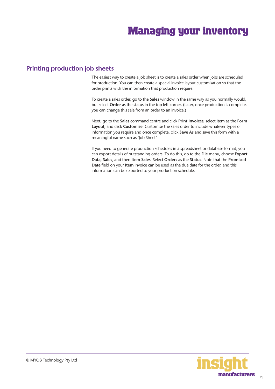#### <span id="page-27-0"></span>**Printing production job sheets**

The easiest way to create a job sheet is to create a sales order when jobs are scheduled for production. You can then create a special invoice layout customisation so that the order prints with the information that production require.

To create a sales order, go to the **Sales** window in the same way as you normally would, but select **Order** as the status in the top left corner. (Later, once production is complete, you can change this sale from an order to an invoice.)

Next, go to the **Sales** command centre and click **Print Invoices**, select Item as the **Form Layout**, and click **Customise**. Customise the sales order to include whatever types of information you require and once complete, click **Save As** and save this form with a meaningful name such as 'Job Sheet'.

If you need to generate production schedules in a spreadsheet or database format, you can export details of outstanding orders. To do this, go to the **File** menu, choose E**xport Data, Sales**, and then **Item Sales**. Select **Orders** as the **Status**. Note that the **Promised Date** field on your **Item** invoice can be used as the due date for the order, and this information can be exported to your production schedule.

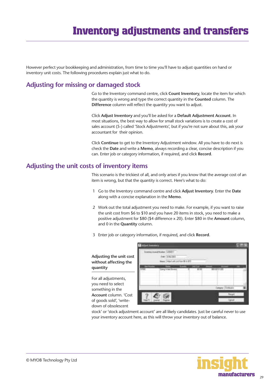### **Inventory adjustments and transfers**

<span id="page-28-0"></span>However perfect your bookkeeping and administration, from time to time you'll have to adjust quantities on hand or inventory unit costs. The following procedures explain just what to do.

#### **Adjusting for missing or damaged stock**

Go to the Inventory command centre, click **Count Inventory**, locate the item for which the quantity is wrong and type the correct quantity in the **Counted** column. The **Difference** column will reflect the quantity you want to adjust.

Click **Adjust Inventory** and you'll be asked for a **Default Adjustment Account**. In most situations, the best way to allow for small stock variations is to create a cost of sales account (5-) called 'Stock Adjustments', but if you're not sure about this, ask your accountant for their opinion.

Click **Continue** to get to the Inventory Adjustment window. All you have to do next is check the **Date** and write a **Memo**, always recording a clear, concise description if you can. Enter job or category information, if required, and click **Record**.

#### **Adjusting the unit costs of inventory items**

This scenario is the trickiest of all, and only arises if you know that the average cost of an item is wrong, but that the quantity is correct. Here's what to do:

- 1 Go to the Inventory command centre and click **Adjust Inventory**. Enter the **Date** along with a concise explanation in the **Memo**.
- 2 Work out the total adjustment you need to make. For example, if you want to raise the unit cost from \$6 to \$10 and you have 20 items in stock, you need to make a positive adjustment for \$80 (\$4 difference x 20). Enter \$80 in the **Amount** column, and 0 in the **Quantity** column.
- 3 Enter job or category information, if required, and click **Record**.

**Adjusting the unit cost without affecting the quantity** 

For all adjustments, you need to select something in the **Account** column. 'Cost of goods sold', 'writedown of obsolescent



stock' or 'stock adjustment account' are all likely candidates. Just be careful never to use your inventory account here, as this will throw your inventory out of balance.

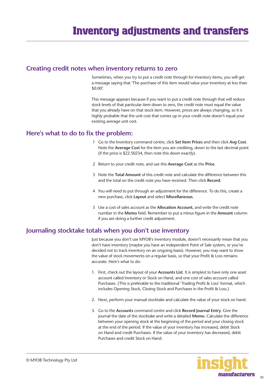#### <span id="page-29-0"></span>**Creating credit notes when inventory returns to zero**

Sometimes, when you try to put a credit note through for inventory items, you will get a message saying that 'The purchase of this item would value your inventory at less than \$0.00'.

This message appears because if you want to put a credit note through that will reduce stock levels of that particular item down to zero, the credit note must equal the value that you already have on that stock item. However, prices are always changing, so it is highly probable that the unit cost that comes up in your credit note doesn't equal your existing average unit cost.

#### **Here's what to do to fix the problem:**

- 1 Go to the Inventory command centre, click **Set Item Prices** and then click **Avg Cost**. Note the **Average Cost** for the item you are crediting, down to the last decimal point (if the price is \$22.50234, then note this down exactly).
- 2 Return to your credit note, and use this **Average Cost** as the **Price**.
- 3 Note the **Total Amount** of this credit note and calculate the difference between this and the total on the credit note you have received. Then click **Record**.
- 4 You will need to put through an adjustment for the difference. To do this, create a new purchase, click **Layout** and select **Miscellaneous**.
- 5 Use a cost of sales account as the **Allocation Account**, and write the credit note number in the **Memo** field. Remember to put a minus figure in the **Amount** column if you are doing a further credit adjustment.

#### **Journaling stocktake totals when you don't use inventory**

Just because you don't use MYOB's inventory module, doesn't necessarily mean that you don't have inventory (maybe you have an independent Point of Sale system, or you've decided not to track inventory on an ongoing basis). However, you may want to show the value of stock movements on a regular basis, so that your Profit & Loss remains accurate. Here's what to do:

- 1. First, check out the layout of your **Accounts List**. It is simplest to have only one asset account called Inventory or Stock on Hand, and one cost of sales account called Purchases. (This is preferable to the traditional 'Trading Profit & Loss' format, which includes Opening Stock, Closing Stock and Purchases in the Profit & Loss.)
- 2. Next, perform your manual stocktake and calculate the value of your stock on hand.
- 3. Go to the **Accounts** command centre and click **Record Journal Entry**. Give the journal the date of the stocktake and write a detailed **Memo**. Calculate the difference between your opening stock at the beginning of the period and your closing stock at the end of the period. If the value of your inventory has increased, debit Stock on Hand and credit Purchases. If the value of your inventory has decreased, debit Purchases and credit Stock on Hand.

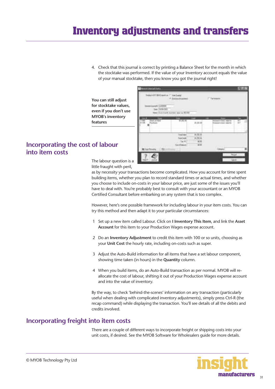### <span id="page-30-0"></span>**Inventory adjustments and transfers**

4. Check that this journal is correct by printing a Balance Sheet for the month in which the stocktake was performed. If the value of your Inventory account equals the value of your manual stocktake, then you know you got the journal right!

**Sales Room** 

**You can still adjust for stocktake values, even if you don't use MYOB's inventory features**

| Incorporating the cost of labour |  |  |
|----------------------------------|--|--|
| into item costs                  |  |  |

Al course **M.2019** 

The labour question is a little fraught with peril,

as by necessity your transactions become complicated. How you account for time spent building items, whether you plan to record standard times or actual times, and whether you choose to include on-costs in your labour price, are just some of the issues you'll have to deal with. You're probably best to consult with your accountant or an MYOB Certified Consultant before embarking on any system that is too complex.

However, here's one possible framework for including labour in your item costs. You can try this method and then adapt it to your particular circumstances:

- 1 Set up a new item called Labour. Click on **I Inventory This Item**, and link the **Asset Account** for this item to your Production Wages expense account.
- 2 Do an **Inventory Adjustment** to credit this item with 100 or so units, choosing as your **Unit Cost** the hourly rate, including on-costs such as super.
- 3 Adjust the Auto-Build information for all items that have a set labour component, showing time taken (in hours) in the **Quantity** column.
- 4 When you build items, do an Auto-Build transaction as per normal. MYOB will reallocate the cost of labour, shifting it out of your Production Wages expense account and into the value of inventory.

By the way, to check 'behind-the-scenes' information on any transaction (particularly useful when dealing with complicated inventory adjustments), simply press Ctrl-R (the recap command) while displaying the transaction. You'll see details of all the debits and credits involved.

#### **Incorporating freight into item costs**

There are a couple of different ways to incorporate freight or shipping costs into your unit costs, if desired. See the MYOB Software for Wholesalers guide for more details.

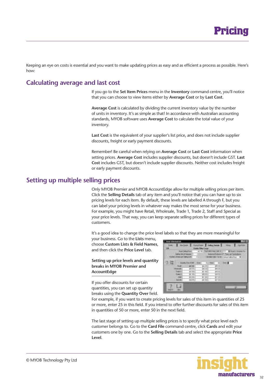

<span id="page-31-0"></span>Keeping an eye on costs is essential and you want to make updating prices as easy and as efficient a process as possible. Here's how:

#### **Calculating average and last cost**

If you go to the **Set Item Prices** menu in the **Inventory** command centre, you'll notice that you can choose to view items either by **Average Cost** or by **Last Cost**.

**Average Cost** is calculated by dividing the current inventory value by the number of units in inventory. It's as simple as that! In accordance with Australian accounting standards, MYOB software uses **Average Cost** to calculate the total value of your inventory.

Last Cost is the equivalent of your supplier's list price, and does not include supplier discounts, freight or early payment discounts.

Remember! Be careful when relying on **Average Cost** or **Last Cost** information when setting prices. **Average Cost** includes supplier discounts, but doesn't include GST. **Last Cost** includes GST, but doesn't include supplier discounts. Neither cost includes freight or early payment discounts.

#### **Setting up multiple selling prices**

Only MYOB Premier and MYOB AccountEdge allow for multiple selling prices per item. Click the **Selling Details** tab of any item and you'll notice that you can have up to six pricing levels for each item. By default, these levels are labelled A through F, but you can label your pricing levels in whatever way makes the most sense for your business. For example, you might have Retail, Wholesale, Trade 1, Trade 2, Staff and Special as your price levels. That way, you can keep separate selling prices for different types of customers.

It's a good idea to change the price level labels so that they are more meaningful for

your business. Go to the **Lists** menu, choose **Custom Lists & Field Names**, and then click the **Price Level** tab.

**Setting up price levels and quantity breaks in MYOB Premier and AccountEdge**

If you offer discounts for certain quantities, you can set up quantity breaks using the **Quantity Over** field.

|     | ۰                                          |                                                |                                                    |   | ٠ |
|-----|--------------------------------------------|------------------------------------------------|----------------------------------------------------|---|---|
|     | шr<br>ut in<br>ūЮ<br>÷<br>ÿ<br>計算<br>in it | ж<br>BL.<br>ш<br>v<br>×<br>и<br>R<br>Ħ<br>-910 | π<br>۰<br><b>IR</b><br>諭<br>ш<br>×<br>w<br>т<br>m. | × |   |
| 692 |                                            |                                                |                                                    |   |   |

For example, if you want to create pricing levels for sales of this item in quantities of 25 or more, enter 25 in this field. If you intend to offer further discounts for sales of this item in quantities of 50 or more, enter 50 in the next field.

The last stage of setting up multiple selling prices is to specify what price level each customer belongs to. Go to the **Card File** command centre, click **Cards** and edit your customers one by one. Go to the **Selling Details** tab and select the appropriate **Price Level**.

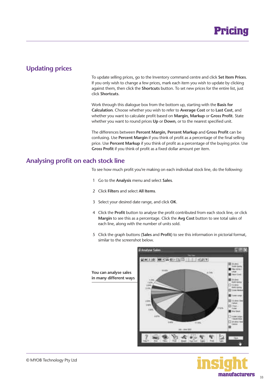

#### <span id="page-32-0"></span>**Updating prices**

To update selling prices, go to the Inventory command centre and click **Set Item Prices**. If you only wish to change a few prices, mark each item you wish to update by clicking against them, then click the **Shortcuts** button. To set new prices for the entire list, just click **Shortcuts**.

Work through this dialogue box from the bottom up, starting with the **Basis for Calculation**. Choose whether you wish to refer to **Average Cost** or to **Last Cost**, and whether you want to calculate profit based on **Margin, Markup** or **Gross Profit**. State whether you want to round prices **Up** or **Down**, or to the nearest specified unit.

The differences between **Percent Margin, Percent Markup** and **Gross Profit** can be confusing. Use **Percent Margin** if you think of profit as a percentage of the final selling price. Use **Percent Markup** if you think of profit as a percentage of the buying price. Use **Gross Profit** if you think of profit as a fixed dollar amount per item.

#### **Analysing profit on each stock line**

To see how much profit you're making on each individual stock line, do the following:

- 1 Go to the **Analysis** menu and select **Sales**.
- 2 Click **Filters** and select **All Items**.
- 3 Select your desired date range, and click **OK**.
- 4 Click the **Profit** button to analyse the profit contributed from each stock line, or click **Margin** to see this as a percentage. Click the **Avg Cost** button to see total sales of each line, along with the number of units sold.
- 5 Click the graph buttons (**Sales** and **Profit**) to see this information in pictorial format, similar to the screenshot below.



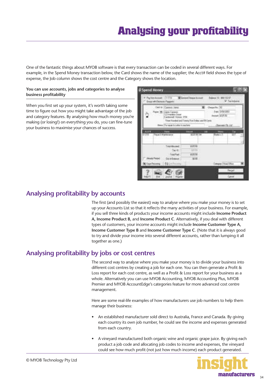<span id="page-33-0"></span>One of the fantastic things about MYOB software is that every transaction can be coded in several different ways. For example, in the Spend Money transaction below, the Card shows the name of the supplier; the Acct# field shows the type of expense, the Job column shows the cost centre and the Category shows the location.

#### **You can use accounts, jobs and categories to analyse business profitability**

When you first set up your system, it's worth taking some time to figure out how you might take advantage of the job and category features. By analysing how much money you're making (or losing!) on everything you do, you can fine-tune your business to maximise your chances of success.

| mia will Chinese Pa   |                                                                        | <b>MISSION</b>                            |                                                   | <b>U</b> Tarridak  |
|-----------------------|------------------------------------------------------------------------|-------------------------------------------|---------------------------------------------------|--------------------|
|                       | Call III . Cannot James<br>121 Handler Stone<br>Arthurson History 3154 | The fundel ad Treng Tue Date: and SCCells | Owner Fo., 10<br>×<br>we'll throat to<br>$-117.5$ |                    |
|                       | Here: Formula to Lube in eaching                                       |                                           |                                                   | <b>WELLER</b>      |
| <b>AULE</b><br>H789 1 | <b><i><u>Report Mademoire</u></i></b>                                  | <b>STATISTIC</b>                          | <b>Rieder</b> n 1                                 | 7.447<br>٠         |
|                       | <b>Learning and</b>                                                    | <b>TIFR</b>                               |                                                   |                    |
|                       | <b>HATH</b>                                                            | AT TH<br>10570                            |                                                   |                    |
|                       | <b>Dat of Eastern</b><br>Distributed Still Common                      | 9191                                      | Wegner Thinkil (Shkun                             | <b>All Address</b> |

#### **Analysing profitability by accounts**

The first (and possibly the easiest) way to analyse where you make your money is to set up your Accounts List so that it reflects the many activities of your business. For example, if you sell three kinds of products your income accounts might include **Income Product A, Income Product B,** and **Income Product C**. Alternatively, if you deal with different types of customers, your income accounts might include **Income Customer Type A, Income Customer Type B** and **Income Customer Type C**. (Note that it is always good to try and divide your income into several different accounts, rather than lumping it all together as one.)

#### **Analysing profitability by jobs or cost centres**

The second way to analyse where you make your money is to divide your business into different cost centres by creating a job for each one. You can then generate a Profit & Loss report for each cost centre, as well as a Profit & Loss report for your business as a whole. Alternatively you can use MYOB Accounting, MYOB Accounting Plus, MYOB Premier and MYOB AccountEdge's categories feature for more advanced cost centre management.

Here are some real-life examples of how manufacturers use job numbers to help them manage their business:

- An established manufacturer sold direct to Australia, France and Canada. By giving each country its own job number, he could see the income and expenses generated from each country.
- A vineyard manufactured both organic wine and organic grape juice. By giving each product a job code and allocating job codes to income and expenses, the vineyard could see how much profit (not just how much income) each product generated.

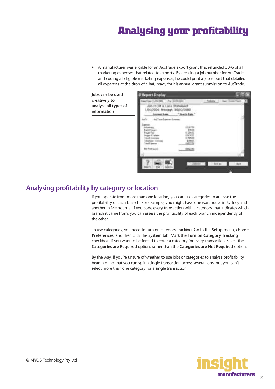<span id="page-34-0"></span>• A manufacturer was eligible for an AusTrade export grant that refunded 50% of all marketing expenses that related to exports. By creating a job number for AusTrade, and coding all eligible marketing expenses, he could print a job report that detailed all expenses at the drop of a hat, ready for his annual grant submission to AusTrade.

**Jobs can be used creatively to analyse all types of information**



#### **Analysing profitability by category or location**

If you operate from more than one location, you can use categories to analyse the profitability of each branch. For example, you might have one warehouse in Sydney and another in Melbourne. If you code every transaction with a category that indicates which branch it came from, you can assess the profitability of each branch independently of the other.

To use categories, you need to turn on category tracking. Go to the **Setup** menu, choose **Preferences**, and then click the **System** tab. Mark the **Turn on Category Tracking** checkbox. If you want to be forced to enter a category for every transaction, select the **Categories are Required** option, rather than the **Categories are Not Required** option.

By the way, if you're unsure of whether to use jobs or categories to analyse profitability, bear in mind that you can split a single transaction across several jobs, but you can't select more than one category for a single transaction.

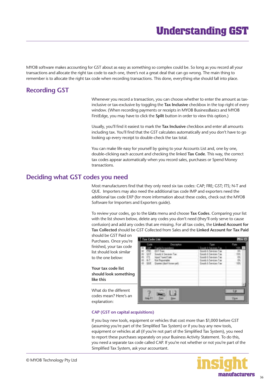### **Understanding GST**

<span id="page-35-0"></span>MYOB software makes accounting for GST about as easy as something so complex could be. So long as you record all your transactions and allocate the right tax code to each one, there's not a great deal that can go wrong. The main thing to remember is to allocate the right tax code when recording transactions. This done, everything else should fall into place.

#### **Recording GST**

Whenever you record a transaction, you can choose whether to enter the amount as taxinclusive or tax-exclusive by toggling the **Tax Inclusive** checkbox in the top right of every window. (When recording payments or receipts in MYOB BusinessBasics and MYOB FirstEdge, you may have to click the **Split** button in order to view this option.)

Usually, you'll find it easiest to mark the **Tax Inclusive** checkbox and enter all amounts including tax. You'll find that the GST calculates automatically and you don't have to go looking up every receipt to double-check the tax total.

You can make life easy for yourself by going to your Accounts List and, one by one, double-clicking each account and checking the linked **Tax Code**. This way, the correct tax codes appear automatically when you record sales, purchases or Spend Money transactions.

#### **Deciding what GST codes you need**

Most manufacturers find that they only need six tax codes: CAP; FRE; GST; ITS; N-T and QUE. Importers may also need the additional tax code IMP and exporters need the additional tax code EXP (for more information about these codes, check out the MYOB Software for Importers and Exporters guide).

To review your codes, go to the **Lists** menu and choose **Tax Codes**. Comparing your list with the list shown below, delete any codes you don't need (they'll only serve to cause confusion) and add any codes that are missing. For all tax codes, the **Linked Account for Tax Collected** should be GST Collected from Sales and the **Linked Account for Tax Paid** 

should be GST Paid on Purchases. Once you're finished, your tax code list should look similar to the one below:

**Your tax code list should look something like this**

What do the different codes mean? Here's an explanation:



#### **CAP (GST on capital acquisitions)**

If you buy new tools, equipment or vehicles that cost more than \$1,000 before GST (assuming you're part of the Simplified Tax System) or if you buy any new tools, equipment or vehicles at all (if you're not part of the Simplified Tax System), you need to report these purchases separately on your Business Activity Statement. To do this, you need a separate tax code called CAP. If you're not whether or not you're part of the Simplified Tax System, ask your accountant.

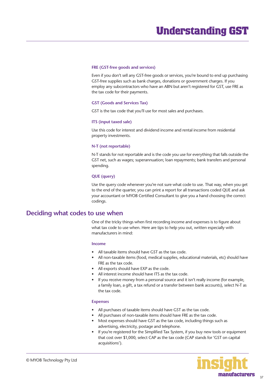#### <span id="page-36-0"></span>**FRE (GST-free goods and services)**

Even if you don't sell any GST-free goods or services, you're bound to end up purchasing GST-free supplies such as bank charges, donations or government charges. If you employ any subcontractors who have an ABN but aren't registered for GST, use FRE as the tax code for their payments.

#### **GST (Goods and Services Tax)**

GST is the tax code that you'll use for most sales and purchases.

#### **ITS (input taxed sale)**

Use this code for interest and dividend income and rental income from residential property investments.

#### **N-T (not reportable)**

N-T stands for not reportable and is the code you use for everything that falls outside the GST net, such as wages; superannuation; loan repayments; bank transfers and personal spending.

#### **QUE (query)**

Use the query code whenever you're not sure what code to use. That way, when you get to the end of the quarter, you can print a report for all transactions coded QUE and ask your accountant or MYOB Certified Consultant to give you a hand choosing the correct codings.

#### **Deciding what codes to use when**

One of the tricky things when first recording income and expenses is to figure about what tax code to use when. Here are tips to help you out, written especially with manufacturers in mind:

#### **Income**

- All taxable items should have GST as the tax code.
- All non-taxable items (food, medical supplies, educational materials, etc) should have FRE as the tax code.
- All exports should have EXP as the code.
- All interest income should have ITS as the tax code.
- If you receive money from a personal source and it isn't really income (for example, a family loan, a gift, a tax refund or a transfer between bank accounts), select N-T as the tax code.

#### **Expenses**

- All purchases of taxable items should have GST as the tax code.
- All purchases of non-taxable items should have FRE as the tax code.
- Most expenses should have GST as the tax code, including things such as advertising, electricity, postage and telephone.
- If you're registered for the Simplified Tax System, if you buy new tools or equipment that cost over \$1,000, select CAP as the tax code (CAP stands for 'GST on capital acquisitions').

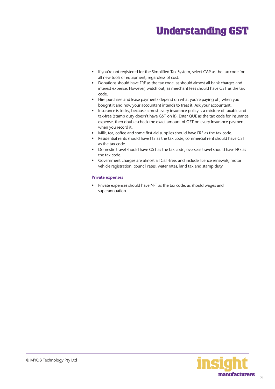- If you're not registered for the Simplified Tax System, select CAP as the tax code for all new tools or equipment, regardless of cost.
- Donations should have FRE as the tax code, as should almost all bank charges and interest expense. However, watch out, as merchant fees should have GST as the tax code.
- Hire purchase and lease payments depend on what you're paying off, when you bought it and how your accountant intends to treat it. Ask your accountant.
- Insurance is tricky, because almost every insurance policy is a mixture of taxable and tax-free (stamp duty doesn't have GST on it). Enter QUE as the tax code for insurance expense, then double-check the exact amount of GST on every insurance payment when you record it.
- Milk, tea, coffee and some first aid supplies should have FRE as the tax code.
- Residential rents should have ITS as the tax code, commercial rent should have GST as the tax code.
- Domestic travel should have GST as the tax code, overseas travel should have FRE as the tax code.
- Government charges are almost all GST-free, and include licence renewals, motor vehicle registration, council rates, water rates, land tax and stamp duty

#### **Private expenses**

• Private expenses should have N-T as the tax code, as should wages and superannuation.